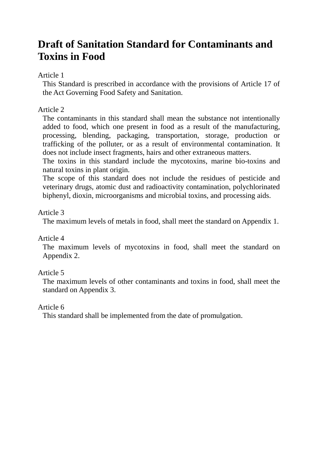## **Draft of Sanitation Standard for Contaminants and Toxins in Food**

#### Article 1

This Standard is prescribed in accordance with the provisions of Article 17 of the Act Governing Food Safety and Sanitation.

### Article 2

The contaminants in this standard shall mean the substance not intentionally added to food, which one present in food as a result of the manufacturing, processing, blending, packaging, transportation, storage, production or trafficking of the polluter, or as a result of environmental contamination. It does not include insect fragments, hairs and other extraneous matters.

The toxins in this standard include the mycotoxins, marine bio-toxins and natural toxins in plant origin.

The scope of this standard does not include the residues of pesticide and veterinary drugs, atomic dust and radioactivity contamination, polychlorinated biphenyl, dioxin, microorganisms and microbial toxins, and processing aids.

#### Article 3

The maximum levels of metals in food, shall meet the standard on Appendix 1.

#### Article 4

The maximum levels of mycotoxins in food, shall meet the standard on Appendix 2.

#### Article 5

The maximum levels of other contaminants and toxins in food, shall meet the standard on Appendix 3.

#### Article 6

This standard shall be implemented from the date of promulgation.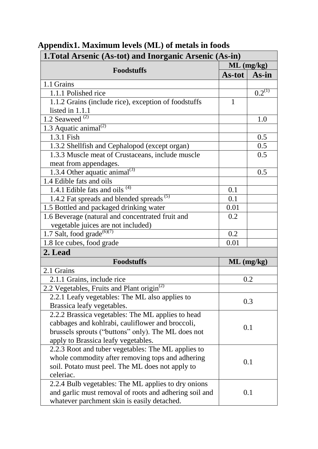| 1. Total Arsenic (As-tot) and Inorganic Arsenic (As-in) |              |              |
|---------------------------------------------------------|--------------|--------------|
|                                                         | $ML$ (mg/kg) |              |
| <b>Foodstuffs</b>                                       | $As-tot$     | As-in        |
| 1.1 Grains                                              |              |              |
| 1.1.1 Polished rice                                     |              | $0.2^{(1)}$  |
| 1.1.2 Grains (include rice), exception of foodstuffs    | 1            |              |
| listed in 1.1.1                                         |              |              |
| 1.2 Seaweed $^{(2)}$                                    |              | 1.0          |
| $1.3$ Aquatic animal <sup>(2)</sup>                     |              |              |
| 1.3.1 Fish                                              |              | 0.5          |
| 1.3.2 Shellfish and Cephalopod (except organ)           |              | 0.5          |
| 1.3.3 Muscle meat of Crustaceans, include muscle        |              | 0.5          |
| meat from appendages.                                   |              |              |
| 1.3.4 Other aquatic animal <sup>(3)</sup>               |              | 0.5          |
| 1.4 Edible fats and oils                                |              |              |
| 1.4.1 Edible fats and oils <sup>(4)</sup>               | 0.1          |              |
| 1.4.2 Fat spreads and blended spreads <sup>(5)</sup>    | 0.1          |              |
| 1.5 Bottled and packaged drinking water                 | 0.01         |              |
| 1.6 Beverage (natural and concentrated fruit and        | 0.2          |              |
| vegetable juices are not included)                      |              |              |
| 1.7 Salt, food grade <sup><math>(6)(7)</math></sup>     | 0.2          |              |
| 1.8 Ice cubes, food grade                               | 0.01         |              |
| 2. Lead                                                 |              |              |
| <b>Foodstuffs</b>                                       |              | $ML$ (mg/kg) |
| 2.1 Grains                                              |              |              |
| 2.1.1 Grains, include rice                              |              | 0.2          |
| 2.2 Vegetables, Fruits and Plant origin <sup>(2)</sup>  |              |              |
| 2.2.1 Leafy vegetables: The ML also applies to          |              |              |
| Brassica leafy vegetables.                              |              | 0.3          |
| 2.2.2 Brassica vegetables: The ML applies to head       |              |              |
| cabbages and kohlrabi, cauliflower and broccoli,        |              | 0.1          |
| brussels sprouts ("buttons" only). The ML does not      |              |              |
| apply to Brassica leafy vegetables.                     |              |              |
| 2.2.3 Root and tuber vegetables: The ML applies to      |              |              |
| whole commodity after removing tops and adhering        |              | 0.1          |
| soil. Potato must peel. The ML does not apply to        |              |              |
| celeriac.                                               |              |              |
| 2.2.4 Bulb vegetables: The ML applies to dry onions     |              |              |
| and garlic must removal of roots and adhering soil and  |              | 0.1          |
| whatever parchment skin is easily detached.             |              |              |

# **Appendix1. Maximum levels (ML) of metals in foods**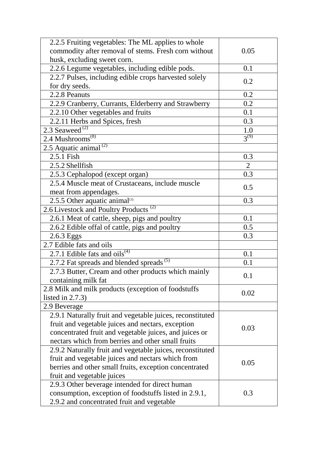| 2.2.5 Fruiting vegetables: The ML applies to whole        |                |
|-----------------------------------------------------------|----------------|
| commodity after removal of stems. Fresh corn without      | 0.05           |
| husk, excluding sweet corn.                               |                |
| 2.2.6 Legume vegetables, including edible pods.           | 0.1            |
| 2.2.7 Pulses, including edible crops harvested solely     |                |
| for dry seeds.                                            | 0.2            |
| 2.2.8 Peanuts                                             | 0.2            |
| 2.2.9 Cranberry, Currants, Elderberry and Strawberry      | 0.2            |
| 2.2.10 Other vegetables and fruits                        | 0.1            |
| 2.2.11 Herbs and Spices, fresh                            | 0.3            |
| 2.3 Seaweed $^{(2)}$                                      | 1.0            |
| 2.4 Mushrooms <sup>(8)</sup>                              | $3^{(9)}$      |
| $2.5$ Aquatic animal <sup>(2)</sup>                       |                |
| 2.5.1 Fish                                                | 0.3            |
| 2.5.2 Shellfish                                           | $\overline{2}$ |
| 2.5.3 Cephalopod (except organ)                           | 0.3            |
| 2.5.4 Muscle meat of Crustaceans, include muscle          |                |
| meat from appendages.                                     | 0.5            |
| 2.5.5 Other aquatic animal $(3)$                          | 0.3            |
| 2.6 Livestock and Poultry Products <sup>(2)</sup>         |                |
| 2.6.1 Meat of cattle, sheep, pigs and poultry             | 0.1            |
| 2.6.2 Edible offal of cattle, pigs and poultry            | 0.5            |
| 2.6.3 Eggs                                                | 0.3            |
| 2.7 Edible fats and oils                                  |                |
| 2.7.1 Edible fats and oils <sup><math>(4)</math></sup>    | 0.1            |
| 2.7.2 Fat spreads and blended spreads <sup>(5)</sup>      | 0.1            |
| 2.7.3 Butter, Cream and other products which mainly       |                |
| containing milk fat                                       | 0.1            |
| 2.8 Milk and milk products (exception of foodstuffs       |                |
| listed in $2.7.3$ )                                       | 0.02           |
| 2.9 Beverage                                              |                |
| 2.9.1 Naturally fruit and vegetable juices, reconstituted |                |
| fruit and vegetable juices and nectars, exception         |                |
| concentrated fruit and vegetable juices, and juices or    | 0.03           |
| nectars which from berries and other small fruits         |                |
| 2.9.2 Naturally fruit and vegetable juices, reconstituted |                |
| fruit and vegetable juices and nectars which from         |                |
| berries and other small fruits, exception concentrated    | 0.05           |
| fruit and vegetable juices                                |                |
| 2.9.3 Other beverage intended for direct human            |                |
| consumption, exception of foodstuffs listed in 2.9.1,     | 0.3            |
| 2.9.2 and concentrated fruit and vegetable                |                |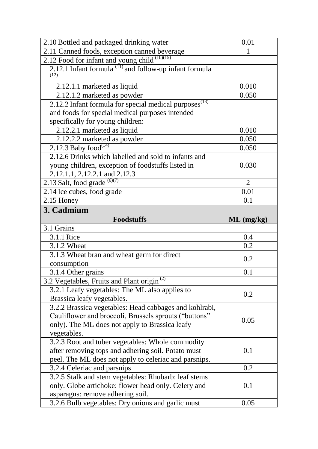| 2.10 Bottled and packaged drinking water                                                                 | 0.01           |
|----------------------------------------------------------------------------------------------------------|----------------|
| 2.11 Canned foods, exception canned beverage                                                             | 1              |
| 2.12 Food for infant and young child $(10)(15)$                                                          |                |
| 2.12.1 Infant formula $^{(11)}$ and follow-up infant formula<br>(12)                                     |                |
| 2.12.1.1 marketed as liquid                                                                              | 0.010          |
| 2.12.1.2 marketed as powder                                                                              | 0.050          |
| 2.12.2 Infant formula for special medical purposes $(s(13))$                                             |                |
| and foods for special medical purposes intended                                                          |                |
| specifically for young children:                                                                         |                |
| 2.12.2.1 marketed as liquid                                                                              | 0.010          |
| 2.12.2.2 marketed as powder                                                                              | 0.050          |
| 2.12.3 Baby food <sup>(14)</sup>                                                                         | 0.050          |
| 2.12.6 Drinks which labelled and sold to infants and                                                     |                |
| young children, exception of foodstuffs listed in                                                        | 0.030          |
| 2.12.1.1, 2.12.2.1 and 2.12.3                                                                            |                |
| 2.13 Salt, food grade $^{(6)(7)}$                                                                        | $\overline{2}$ |
| 2.14 Ice cubes, food grade                                                                               | 0.01           |
| 2.15 Honey                                                                                               | 0.1            |
| 3. Cadmium                                                                                               |                |
| <b>Foodstuffs</b>                                                                                        | ML (mg/kg)     |
|                                                                                                          |                |
| 3.1 Grains                                                                                               |                |
| 3.1.1 Rice                                                                                               | 0.4            |
| 3.1.2 Wheat                                                                                              | 0.2            |
| 3.1.3 Wheat bran and wheat germ for direct                                                               |                |
| consumption                                                                                              | 0.2            |
| 3.1.4 Other grains                                                                                       | 0.1            |
|                                                                                                          |                |
| 3.2 Vegetables, Fruits and Plant origin <sup>(2)</sup><br>3.2.1 Leafy vegetables: The ML also applies to |                |
| Brassica leafy vegetables.                                                                               | 0.2            |
| 3.2.2 Brassica vegetables: Head cabbages and kohlrabi,                                                   |                |
| Cauliflower and broccoli, Brussels sprouts ("buttons"                                                    |                |
| only). The ML does not apply to Brassica leafy                                                           | 0.05           |
| vegetables.                                                                                              |                |
| 3.2.3 Root and tuber vegetables: Whole commodity                                                         |                |
| after removing tops and adhering soil. Potato must                                                       | 0.1            |
| peel. The ML does not apply to celeriac and parsnips.                                                    |                |
| 3.2.4 Celeriac and parsnips                                                                              | 0.2            |
| 3.2.5 Stalk and stem vegetables: Rhubarb: leaf stems                                                     |                |
| only. Globe artichoke: flower head only. Celery and                                                      | 0.1            |
| asparagus: remove adhering soil.<br>3.2.6 Bulb vegetables: Dry onions and garlic must                    | 0.05           |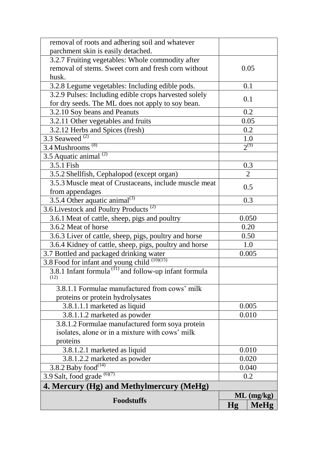| removal of roots and adhering soil and whatever                           |       |                |
|---------------------------------------------------------------------------|-------|----------------|
| parchment skin is easily detached.                                        |       |                |
| 3.2.7 Fruiting vegetables: Whole commodity after                          |       |                |
| removal of stems. Sweet corn and fresh corn without                       |       | 0.05           |
| husk.                                                                     |       |                |
| 3.2.8 Legume vegetables: Including edible pods.                           |       | 0.1            |
| 3.2.9 Pulses: Including edible crops harvested solely                     |       | 0.1            |
| for dry seeds. The ML does not apply to soy bean.                         |       |                |
| 3.2.10 Soy beans and Peanuts                                              |       | 0.2            |
| 3.2.11 Other vegetables and fruits                                        |       | 0.05           |
| 3.2.12 Herbs and Spices (fresh)                                           |       | 0.2            |
| 3.3 Seaweed $^{(2)}$                                                      |       | 1.0            |
| $3.4$ Mushrooms <sup>(8)</sup>                                            |       | $2^{(9)}$      |
| $3.5$ Aquatic animal <sup>(2)</sup>                                       |       |                |
| 3.5.1 Fish                                                                |       | 0.3            |
| 3.5.2 Shellfish, Cephalopod (except organ)                                |       | $\overline{2}$ |
| 3.5.3 Muscle meat of Crustaceans, include muscle meat                     |       | 0.5            |
| from appendages                                                           |       |                |
| $3.5.4$ Other aquatic animal <sup>(3)</sup>                               |       | 0.3            |
| 3.6 Livestock and Poultry Products <sup>(2)</sup>                         |       |                |
| 3.6.1 Meat of cattle, sheep, pigs and poultry                             |       | 0.050          |
| 3.6.2 Meat of horse                                                       |       | 0.20           |
| 3.6.3 Liver of cattle, sheep, pigs, poultry and horse                     |       | 0.50           |
| 3.6.4 Kidney of cattle, sheep, pigs, poultry and horse                    | 1.0   |                |
| 3.7 Bottled and packaged drinking water                                   |       | 0.005          |
| 3.8 Food for infant and young child (10)(15)                              |       |                |
| 3.8.1 Infant formula <sup>(11)</sup> and follow-up infant formula<br>(12) |       |                |
| 3.8.1.1 Formulae manufactured from cows' milk                             |       |                |
| proteins or protein hydrolysates                                          |       |                |
| 3.8.1.1.1 marketed as liquid                                              |       | 0.005          |
| 3.8.1.1.2 marketed as powder                                              |       | 0.010          |
| 3.8.1.2 Formulae manufactured form soya protein                           |       |                |
| isolates, alone or in a mixture with cows' milk                           |       |                |
| proteins                                                                  |       |                |
| 3.8.1.2.1 marketed as liquid                                              |       | 0.010          |
| 3.8.1.2.2 marketed as powder                                              | 0.020 |                |
| $3.8.2$ Baby $\overline{food}^{(14)}$                                     | 0.040 |                |
| 3.9 Salt, food grade $(6)(7)$                                             | 0.2   |                |
| 4. Mercury (Hg) and Methylmercury (MeHg)                                  |       |                |
|                                                                           |       | $ML$ (mg/kg)   |
| <b>Foodstuffs</b>                                                         | Hg    | <b>MeHg</b>    |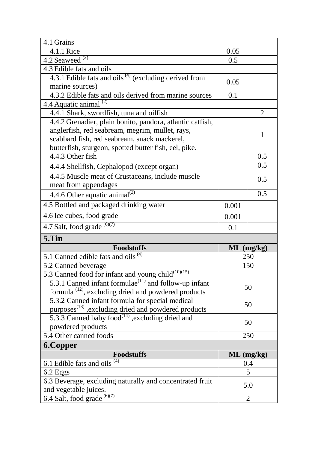| 4.1 Grains                                                        |       |                |
|-------------------------------------------------------------------|-------|----------------|
| 4.1.1 Rice                                                        | 0.05  |                |
| 4.2 Seaweed $^{(2)}$                                              | 0.5   |                |
| 4.3 Edible fats and oils                                          |       |                |
| 4.3.1 Edible fats and oils $(4)$ (excluding derived from          | 0.05  |                |
| marine sources)                                                   |       |                |
| 4.3.2 Edible fats and oils derived from marine sources            | 0.1   |                |
| 4.4 Aquatic animal $^{(2)}$                                       |       |                |
| 4.4.1 Shark, swordfish, tuna and oilfish                          |       | $\overline{2}$ |
| 4.4.2 Grenadier, plain bonito, pandora, atlantic catfish,         |       |                |
| anglerfish, red seabream, megrim, mullet, rays,                   |       | 1              |
| scabbard fish, red seabream, snack mackerel,                      |       |                |
| butterfish, sturgeon, spotted butter fish, eel, pike.             |       |                |
| 4.4.3 Other fish                                                  |       | 0.5            |
| 4.4.4 Shellfish, Cephalopod (except organ)                        |       | 0.5            |
| 4.4.5 Muscle meat of Crustaceans, include muscle                  |       | 0.5            |
| meat from appendages                                              |       |                |
| 4.4.6 Other aquatic animal <sup>(3)</sup>                         |       | 0.5            |
| 4.5 Bottled and packaged drinking water                           | 0.001 |                |
| 4.6 Ice cubes, food grade                                         | 0.001 |                |
| 4.7 Salt, food grade $^{(6)(7)}$                                  | 0.1   |                |
| 5.Tin                                                             |       |                |
| <b>Foodstuffs</b>                                                 |       | $ML$ (mg/kg)   |
| 5.1 Canned edible fats and oils <sup>(4)</sup>                    |       | 250            |
| 5.2 Canned beverage                                               |       | 150            |
| 5.3 Canned food for infant and young child <sup>(10)(15)</sup>    |       |                |
| 5.3.1 Canned infant formulae <sup>(11)</sup> and follow-up infant |       | 50             |
| formula <sup>(12)</sup> , excluding dried and powdered products   |       |                |
| 5.3.2 Canned infant formula for special medical                   |       | 50             |
| purposes <sup>(13)</sup> , excluding dried and powdered products  |       |                |
| 5.3.3 Canned baby food $^{(14)}$ , excluding dried and            |       | 50             |
| powdered products                                                 |       |                |
| 5.4 Other canned foods                                            |       | 250            |
| <b>6.Copper</b>                                                   |       |                |
| <b>Foodstuffs</b>                                                 |       | $ML$ (mg/kg)   |
| 6.1 Edible fats and oils $(4)$                                    |       | 0.4            |
| 6.2 Eggs                                                          |       | 5              |
| 6.3 Beverage, excluding naturally and concentrated fruit          |       | 5.0            |
| and vegetable juices.<br>6.4 Salt, food grade $^{(6)(7)}$         |       |                |
|                                                                   |       | $\overline{2}$ |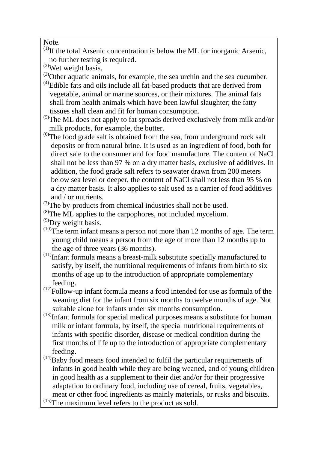Note.

- $<sup>(1)</sup>$ If the total Arsenic concentration is below the ML for inorganic Arsenic,</sup> no further testing is required.
- (2)Wet weight basis.
- (3)Other aquatic animals, for example, the sea urchin and the sea cucumber.
- $<sup>(4)</sup>$ Edible fats and oils include all fat-based products that are derived from</sup> vegetable, animal or marine sources, or their mixtures. The animal fats shall from health animals which have been lawful slaughter; the fatty tissues shall clean and fit for human consumption.
- $<sup>(5)</sup>$ The ML does not apply to fat spreads derived exclusively from milk and/or</sup> milk products, for example, the butter.
- $^{(6)}$ The food grade salt is obtained from the sea, from underground rock salt deposits or from natural brine. It is used as an ingredient of food, both for direct sale to the consumer and for food manufacture. The content of NaCl shall not be less than 97 % on a dry matter basis, exclusive of additives. In addition, the food grade salt refers to seawater drawn from 200 meters below sea level or deeper, the content of NaCl shall not less than 95 % on a dry matter basis. It also applies to salt used as a carrier of food additives and / or nutrients.
- $(7)$ The by-products from chemical industries shall not be used.
- $^{(8)}$ The ML applies to the carpophores, not included mycelium.
- $^{(9)}$ Dry weight basis.
- $(10)$ The term infant means a person not more than 12 months of age. The term young child means a person from the age of more than 12 months up to the age of three years (36 months).
- $(11)$ Infant formula means a breast-milk substitute specially manufactured to satisfy, by itself, the nutritional requirements of infants from birth to six months of age up to the introduction of appropriate complementary feeding.
- $(12)$ Follow-up infant formula means a food intended for use as formula of the weaning diet for the infant from six months to twelve months of age. Not suitable alone for infants under six months consumption.
- $(13)$ Infant formula for special medical purposes means a substitute for human milk or infant formula, by itself, the special nutritional requirements of infants with specific disorder, disease or medical condition during the first months of life up to the introduction of appropriate complementary feeding.
- $(14)$ Baby food means food intended to fulfil the particular requirements of infants in good health while they are being weaned, and of young children in good health as a supplement to their diet and/or for their progressive adaptation to ordinary food, including use of cereal, fruits, vegetables, meat or other food ingredients as mainly materials, or rusks and biscuits.
- $^{(15)}$ The maximum level refers to the product as sold.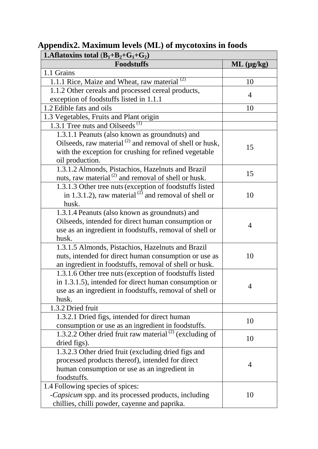| <b>1.</b> Aflatoxins total $(B_1+B_2+G_1+G_2)$                      |                    |  |
|---------------------------------------------------------------------|--------------------|--|
| <b>Foodstuffs</b>                                                   | $ML$ ( $\mu$ g/kg) |  |
| 1.1 Grains                                                          |                    |  |
| 1.1.1 Rice, Maize and Wheat, raw material <sup>(2)</sup>            | 10                 |  |
| 1.1.2 Other cereals and processed cereal products,                  |                    |  |
| exception of foodstuffs listed in 1.1.1                             | 4                  |  |
| 1.2 Edible fats and oils                                            | 10                 |  |
| 1.3 Vegetables, Fruits and Plant origin                             |                    |  |
| 1.3.1 Tree nuts and Oilseeds <sup><math>(1)</math></sup>            |                    |  |
| 1.3.1.1 Peanuts (also known as groundnuts) and                      |                    |  |
| Oilseeds, raw material <sup>(2)</sup> and removal of shell or husk, |                    |  |
| with the exception for crushing for refined vegetable               | 15                 |  |
| oil production.                                                     |                    |  |
| 1.3.1.2 Almonds, Pistachios, Hazelnuts and Brazil                   | 15                 |  |
| nuts, raw material <sup>(2)</sup> and removal of shell or husk.     |                    |  |
| 1.3.1.3 Other tree nuts (exception of foodstuffs listed             |                    |  |
| in 1.3.1.2), raw material <sup>(2)</sup> and removal of shell or    | 10                 |  |
| husk.                                                               |                    |  |
| 1.3.1.4 Peanuts (also known as groundnuts) and                      |                    |  |
| Oilseeds, intended for direct human consumption or                  | 4                  |  |
| use as an ingredient in foodstuffs, removal of shell or             |                    |  |
| husk.                                                               |                    |  |
| 1.3.1.5 Almonds, Pistachios, Hazelnuts and Brazil                   |                    |  |
| nuts, intended for direct human consumption or use as               | 10                 |  |
| an ingredient in foodstuffs, removal of shell or husk.              |                    |  |
| 1.3.1.6 Other tree nuts (exception of foodstuffs listed             |                    |  |
| in 1.3.1.5), intended for direct human consumption or               | 4                  |  |
| use as an ingredient in foodstuffs, removal of shell or             |                    |  |
| husk.                                                               |                    |  |
| 1.3.2 Dried fruit                                                   |                    |  |
| 1.3.2.1 Dried figs, intended for direct human                       | 10                 |  |
| consumption or use as an ingredient in foodstuffs.                  |                    |  |
| 1.3.2.2 Other dried fruit raw material <sup>(2)</sup> (excluding of | 10                 |  |
| dried figs).                                                        |                    |  |
| 1.3.2.3 Other dried fruit (excluding dried figs and                 |                    |  |
| processed products thereof), intended for direct                    | 4                  |  |
| human consumption or use as an ingredient in                        |                    |  |
| foodstuffs.                                                         |                    |  |
| 1.4 Following species of spices:                                    |                    |  |
| -Capsicum spp. and its processed products, including                | 10                 |  |
| chillies, chilli powder, cayenne and paprika.                       |                    |  |

## **Appendix2. Maximum levels (ML) of mycotoxins in foods**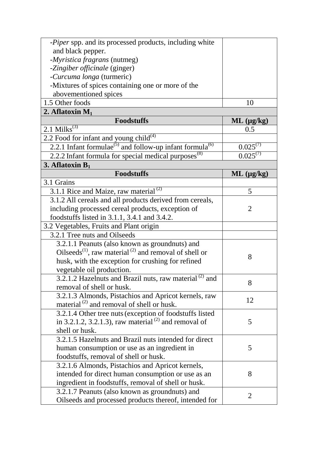| - <i>Piper</i> spp. and its processed products, including white                  |                    |
|----------------------------------------------------------------------------------|--------------------|
| and black pepper.                                                                |                    |
| -Myristica fragrans (nutmeg)                                                     |                    |
| -Zingiber officinale (ginger)                                                    |                    |
| -Curcuma longa (turmeric)                                                        |                    |
| -Mixtures of spices containing one or more of the                                |                    |
| abovementioned spices                                                            |                    |
| 1.5 Other foods                                                                  | 10                 |
| 2. Aflatoxin $M_1$                                                               |                    |
| <b>Foodstuffs</b>                                                                | $ML$ ( $\mu$ g/kg) |
| $2.1$ Milks <sup>(3)</sup>                                                       | 0.5                |
| 2.2 Food for infant and young child <sup>(4)</sup>                               |                    |
| 2.2.1 Infant formulae <sup>(5)</sup> and follow-up infant formula <sup>(6)</sup> | $0.025^{(7)}$      |
| 2.2.2 Infant formula for special medical purposes <sup>(8)</sup>                 | $0.025^{(7)}$      |
| 3. Aflatoxin $B_1$                                                               |                    |
| <b>Foodstuffs</b>                                                                | $ML$ ( $\mu$ g/kg) |
| 3.1 Grains                                                                       |                    |
| 3.1.1 Rice and Maize, raw material $^{(2)}$                                      | 5                  |
| 3.1.2 All cereals and all products derived from cereals,                         |                    |
| including processed cereal products, exception of                                | $\overline{2}$     |
| foodstuffs listed in 3.1.1, 3.4.1 and 3.4.2.                                     |                    |
| 3.2 Vegetables, Fruits and Plant origin                                          |                    |
| 3.2.1 Tree nuts and Oilseeds                                                     |                    |
| 3.2.1.1 Peanuts (also known as groundnuts) and                                   |                    |
| Oilseeds <sup>(1)</sup> , raw material <sup>(2)</sup> and removal of shell or    |                    |
| husk, with the exception for crushing for refined                                | 8                  |
| vegetable oil production.                                                        |                    |
| 3.2.1.2 Hazelnuts and Brazil nuts, raw material <sup>(2)</sup> and               |                    |
| removal of shell or husk.                                                        | 8                  |
| 3.2.1.3 Almonds, Pistachios and Apricot kernels, raw                             |                    |
| material <sup>(2)</sup> and removal of shell or husk.                            | 12                 |
| 3.2.1.4 Other tree nuts (exception of foodstuffs listed                          |                    |
| in 3.2.1.2, 3.2.1.3), raw material <sup>(2)</sup> and removal of                 | 5                  |
| shell or husk.                                                                   |                    |
| 3.2.1.5 Hazelnuts and Brazil nuts intended for direct                            |                    |
| human consumption or use as an ingredient in                                     | 5                  |
| foodstuffs, removal of shell or husk.                                            |                    |
| 3.2.1.6 Almonds, Pistachios and Apricot kernels,                                 |                    |
| intended for direct human consumption or use as an                               | 8                  |
| ingredient in foodstuffs, removal of shell or husk.                              |                    |
| 3.2.1.7 Peanuts (also known as groundnuts) and                                   | $\overline{2}$     |
| Oilseeds and processed products thereof, intended for                            |                    |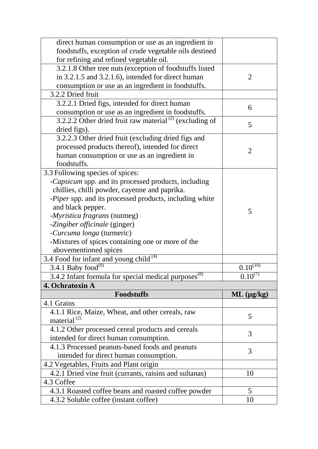| direct human consumption or use as an ingredient in                 |                    |
|---------------------------------------------------------------------|--------------------|
| foodstuffs, exception of crude vegetable oils destined              |                    |
| for refining and refined vegetable oil.                             |                    |
| 3.2.1.8 Other tree nuts (exception of foodstuffs listed             |                    |
| in 3.2.1.5 and 3.2.1.6), intended for direct human                  | 2                  |
| consumption or use as an ingredient in foodstuffs.                  |                    |
| 3.2.2 Dried fruit                                                   |                    |
| 3.2.2.1 Dried figs, intended for direct human                       |                    |
| consumption or use as an ingredient in foodstuffs.                  | 6                  |
| 3.2.2.2 Other dried fruit raw material <sup>(2)</sup> (excluding of |                    |
| dried figs).                                                        | 5                  |
| 3.2.2.3 Other dried fruit (excluding dried figs and                 |                    |
| processed products thereof), intended for direct                    | $\overline{2}$     |
| human consumption or use as an ingredient in                        |                    |
| foodstuffs.                                                         |                    |
| 3.3 Following species of spices:                                    |                    |
| -Capsicum spp. and its processed products, including                |                    |
| chillies, chilli powder, cayenne and paprika.                       |                    |
| -Piper spp. and its processed products, including white             |                    |
| and black pepper.                                                   | 5                  |
| - <i>Myristica fragrans</i> (nutmeg)                                |                    |
| -Zingiber officinale (ginger)                                       |                    |
| -Curcuma longa (turmeric)                                           |                    |
| -Mixtures of spices containing one or more of the                   |                    |
| abovementioned spices                                               |                    |
| 3.4 Food for infant and young child <sup>(4)</sup>                  |                    |
| 3.4.1 Baby food                                                     | $0.10^{(10)}$      |
| 3.4.2 Infant formula for special medical purposes <sup>(8)</sup>    | $0.10^{(7)}$       |
| 4. Ochratoxin A                                                     |                    |
| <b>Foodstuffs</b>                                                   | $ML$ ( $\mu$ g/kg) |
| 4.1 Grains                                                          |                    |
| 4.1.1 Rice, Maize, Wheat, and other cereals, raw                    | 5                  |
| material $^{(2)}$                                                   |                    |
| 4.1.2 Other processed cereal products and cereals                   | 3                  |
| intended for direct human consumption.                              |                    |
| 4.1.3 Processed peanuts-based foods and peanuts                     | 3                  |
| intended for direct human consumption.                              |                    |
| 4.2 Vegetables, Fruits and Plant origin                             |                    |
| 4.2.1 Dried vine fruit (currants, raisins and sultanas)             | 10                 |
| 4.3 Coffee                                                          |                    |
| 4.3.1 Roasted coffee beans and roasted coffee powder                | 5                  |
|                                                                     |                    |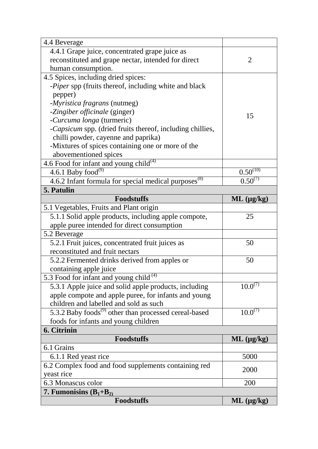| 4.4 Beverage                                                      |                    |
|-------------------------------------------------------------------|--------------------|
| 4.4.1 Grape juice, concentrated grape juice as                    |                    |
| reconstituted and grape nectar, intended for direct               | 2                  |
| human consumption.                                                |                    |
| 4.5 Spices, including dried spices:                               |                    |
| -Piper spp (fruits thereof, including white and black             |                    |
| pepper)                                                           |                    |
| - <i>Myristica fragrans</i> (nutmeg)                              |                    |
| -Zingiber officinale (ginger)                                     | 15                 |
| -Curcuma longa (turmeric)                                         |                    |
| -Capsicum spp. (dried fruits thereof, including chillies,         |                    |
| chilli powder, cayenne and paprika)                               |                    |
| -Mixtures of spices containing one or more of the                 |                    |
| abovementioned spices                                             |                    |
| 4.6 Food for infant and young child <sup>(4)</sup>                |                    |
| 4.6.1 Baby food <sup>(9)</sup>                                    | $0.50^{(10)}$      |
| 4.6.2 Infant formula for special medical purposes <sup>(8)</sup>  | $0.50^{(7)}$       |
| 5. Patulin                                                        |                    |
| <b>Foodstuffs</b>                                                 | $ML$ ( $\mu$ g/kg) |
| 5.1 Vegetables, Fruits and Plant origin                           |                    |
| 5.1.1 Solid apple products, including apple compote,              | 25                 |
| apple puree intended for direct consumption                       |                    |
| 5.2 Beverage                                                      |                    |
| 5.2.1 Fruit juices, concentrated fruit juices as                  | 50                 |
| reconstituted and fruit nectars                                   |                    |
| 5.2.2 Fermented drinks derived from apples or                     | 50                 |
|                                                                   |                    |
| containing apple juice                                            |                    |
| 5.3 Food for infant and young child <sup>(4)</sup>                |                    |
| 5.3.1 Apple juice and solid apple products, including             | $10.0^{(7)}$       |
| apple compote and apple puree, for infants and young              |                    |
| children and labelled and sold as such                            |                    |
| 5.3.2 Baby foods <sup>(9)</sup> other than processed cereal-based | $10.0^{(7)}$       |
| foods for infants and young children                              |                    |
| 6. Citrinin                                                       |                    |
| <b>Foodstuffs</b>                                                 | $ML$ ( $\mu$ g/kg) |
| 6.1 Grains                                                        |                    |
| 6.1.1 Red yeast rice                                              | 5000               |
| 6.2 Complex food and food supplements containing red              |                    |
| yeast rice                                                        | 2000               |
| 6.3 Monascus color                                                | 200                |
| 7. Fumonisins $(B_1+B_2)$                                         |                    |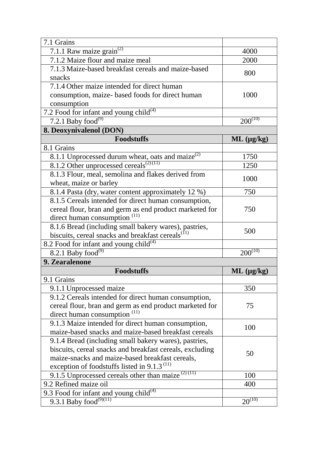| 7.1 Grains                                                                                   |                         |
|----------------------------------------------------------------------------------------------|-------------------------|
| 7.1.1 Raw maize $\overline{\text{grain}^{(2)}}$                                              | 4000                    |
| 7.1.2 Maize flour and maize meal                                                             | 2000                    |
| 7.1.3 Maize-based breakfast cereals and maize-based                                          |                         |
| snacks                                                                                       | 800                     |
| 7.1.4 Other maize intended for direct human                                                  |                         |
| consumption, maize- based foods for direct human                                             | 1000                    |
| consumption                                                                                  |                         |
| 7.2 Food for infant and young child <sup>(4)</sup>                                           |                         |
| 7.2.1 Baby $\overline{food}^{(9)}$                                                           | $200^{(10)}$            |
| 8. Deoxynivalenol (DON)                                                                      |                         |
| <b>Foodstuffs</b>                                                                            | $ML$ ( $\mu$ g/kg)      |
| 8.1 Grains                                                                                   |                         |
| 8.1.1 Unprocessed durum wheat, oats and maize <sup>(2)</sup>                                 | 1750                    |
| 8.1.2 Other unprocessed cereals <sup><math>(2)(11)</math></sup>                              | 1250                    |
| 8.1.3 Flour, meal, semolina and flakes derived from                                          | 1000                    |
| wheat, maize or barley                                                                       |                         |
| 8.1.4 Pasta (dry, water content approximately 12 %)                                          | 750                     |
| 8.1.5 Cereals intended for direct human consumption,                                         |                         |
| cereal flour, bran and germ as end product marketed for                                      | 750                     |
| direct human consumption <sup>(11)</sup>                                                     |                         |
| 8.1.6 Bread (including small bakery wares), pastries,                                        | 500                     |
| biscuits, cereal snacks and breakfast cereals <sup>(11)</sup>                                |                         |
| 8.2 Food for infant and young child <sup>(4)</sup>                                           |                         |
| 8.2.1 Baby food $^{(9)}$                                                                     | $200^{(\overline{10})}$ |
| 9. Zearalenone                                                                               |                         |
| <b>Foodstuffs</b>                                                                            | $ML$ (µg/kg)            |
| 9.1 Grains                                                                                   |                         |
| 9.1.1 Unprocessed maize                                                                      | 350                     |
| 9.1.2 Cereals intended for direct human consumption,                                         |                         |
| cereal flour, bran and germ as end product marketed for                                      | 75                      |
| direct human consumption $(11)$                                                              |                         |
| 9.1.3 Maize intended for direct human consumption,                                           | 100                     |
| maize-based snacks and maize-based breakfast cereals                                         |                         |
| 9.1.4 Bread (including small bakery wares), pastries,                                        |                         |
| biscuits, cereal snacks and breakfast cereals, excluding                                     | 50                      |
| maize-snacks and maize-based breakfast cereals,                                              |                         |
| exception of foodstuffs listed in 9.1.3 $^{(11)}$                                            |                         |
|                                                                                              |                         |
| 9.1.5 Unprocessed cereals other than maize $(2)(11)$                                         | 100                     |
| 9.2 Refined maize oil                                                                        | 400                     |
| 9.3 Food for infant and young $\overline{child}^{(4)}$<br>9.3.1 Baby food <sup>(9)(11)</sup> | $20^{(10)}$             |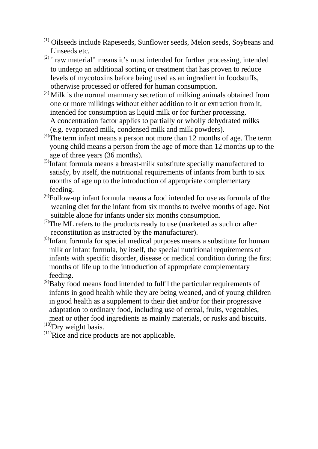- (1) Oilseeds include Rapeseeds, Sunflower seeds, Melon seeds, Soybeans and Linseeds etc.
- $(2)$  "raw material" means it's must intended for further processing, intended to undergo an additional sorting or treatment that has proven to reduce levels of mycotoxins before being used as an ingredient in foodstuffs, otherwise processed or offered for human consumption.
- (3) Milk is the normal mammary secretion of milking animals obtained from one or more milkings without either addition to it or extraction from it, intended for consumption as liquid milk or for further processing. A concentration factor applies to partially or wholly dehydrated milks (e.g. evaporated milk, condensed milk and milk powders).
- $^{(4)}$ The term infant means a person not more than 12 months of age. The term young child means a person from the age of more than 12 months up to the age of three years (36 months).
- $^{(5)}$ Infant formula means a breast-milk substitute specially manufactured to satisfy, by itself, the nutritional requirements of infants from birth to six months of age up to the introduction of appropriate complementary feeding.
- $^{(6)}$ Follow-up infant formula means a food intended for use as formula of the weaning diet for the infant from six months to twelve months of age. Not suitable alone for infants under six months consumption.
- $(7)$ The ML refers to the products ready to use (marketed as such or after reconstitution as instructed by the manufacturer).
- (8) Infant formula for special medical purposes means a substitute for human milk or infant formula, by itself, the special nutritional requirements of infants with specific disorder, disease or medical condition during the first months of life up to the introduction of appropriate complementary feeding.
- $^{(9)}$ Baby food means food intended to fulfil the particular requirements of infants in good health while they are being weaned, and of young children in good health as a supplement to their diet and/or for their progressive adaptation to ordinary food, including use of cereal, fruits, vegetables, meat or other food ingredients as mainly materials, or rusks and biscuits.

 $^{(10)}$ Dry weight basis.

 $^{(11)}$ Rice and rice products are not applicable.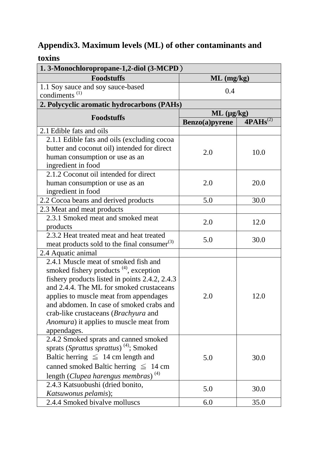## **Appendix3. Maximum levels (ML) of other contaminants and**

| toxins                                                  |                    |                          |  |
|---------------------------------------------------------|--------------------|--------------------------|--|
| 1.3-Monochloropropane-1,2-diol (3-MCPD)                 |                    |                          |  |
| <b>Foodstuffs</b>                                       | $ML$ (mg/kg)       |                          |  |
| 1.1 Soy sauce and soy sauce-based                       |                    |                          |  |
| condiments <sup>(1)</sup>                               | 0.4                |                          |  |
| 2. Polycyclic aromatic hydrocarbons (PAHs)              |                    |                          |  |
| <b>Foodstuffs</b>                                       | $ML$ ( $\mu$ g/kg) |                          |  |
|                                                         | Benzo(a)pyrene     | $4\overline{PAHs}^{(2)}$ |  |
| 2.1 Edible fats and oils                                |                    |                          |  |
| 2.1.1 Edible fats and oils (excluding cocoa             |                    |                          |  |
| butter and coconut oil) intended for direct             | 2.0                | 10.0                     |  |
| human consumption or use as an                          |                    |                          |  |
| ingredient in food                                      |                    |                          |  |
| 2.1.2 Coconut oil intended for direct                   |                    |                          |  |
| human consumption or use as an                          | 2.0                | 20.0                     |  |
| ingredient in food                                      |                    |                          |  |
| 2.2 Cocoa beans and derived products                    | 5.0                | 30.0                     |  |
| 2.3 Meat and meat products                              |                    |                          |  |
| 2.3.1 Smoked meat and smoked meat                       | 2.0                | 12.0                     |  |
| products                                                |                    |                          |  |
| 2.3.2 Heat treated meat and heat treated                | 5.0                | 30.0                     |  |
| meat products sold to the final consumer <sup>(3)</sup> |                    |                          |  |
| 2.4 Aquatic animal                                      |                    |                          |  |
| 2.4.1 Muscle meat of smoked fish and                    |                    |                          |  |
| smoked fishery products <sup>(4)</sup> , exception      |                    |                          |  |
| fishery products listed in points 2.4.2, 2.4.3          |                    |                          |  |
| and 2.4.4. The ML for smoked crustaceans                |                    |                          |  |
| applies to muscle meat from appendages                  | 2.0                | 12.0                     |  |
| and abdomen. In case of smoked crabs and                |                    |                          |  |
| crab-like crustaceans (Brachyura and                    |                    |                          |  |
| <i>Anomura</i> ) it applies to muscle meat from         |                    |                          |  |
| appendages.                                             |                    |                          |  |
| 2.4.2 Smoked sprats and canned smoked                   |                    |                          |  |
| sprats (Sprattus sprattus) <sup>(4)</sup> ; Smoked      |                    |                          |  |
| Baltic herring $\leq 14$ cm length and                  | 5.0                | 30.0                     |  |
| canned smoked Baltic herring $\leq 14$ cm               |                    |                          |  |
| length (Clupea harengus membras) <sup>(4)</sup>         |                    |                          |  |
| 2.4.3 Katsuobushi (dried bonito,                        |                    |                          |  |
| Katsuwonus pelamis);                                    | 5.0                | 30.0                     |  |
| 2.4.4 Smoked bivalve molluscs                           | 6.0                | 35.0                     |  |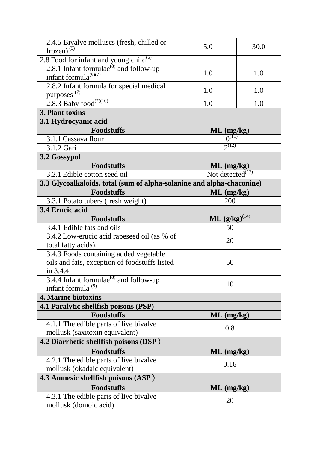| 2.4.5 Bivalve molluscs (fresh, chilled or<br>frozen) $(5)$                                         | 5.0                       | 30.0 |
|----------------------------------------------------------------------------------------------------|---------------------------|------|
|                                                                                                    |                           |      |
| 2.8 Food for infant and young child <sup>(6)</sup><br>2.8.1 Infant formulae $^{(8)}$ and follow-up |                           |      |
| infant formula $^{(9)(7)}$                                                                         | 1.0                       | 1.0  |
| 2.8.2 Infant formula for special medical                                                           |                           |      |
| purposes $(7)$                                                                                     | 1.0                       | 1.0  |
| 2.8.3 Baby food <sup>(7)(10)</sup>                                                                 | 1.0                       | 1.0  |
| 3. Plant toxins                                                                                    |                           |      |
| 3.1 Hydrocyanic acid                                                                               |                           |      |
| <b>Foodstuffs</b>                                                                                  | $ML$ (mg/kg)              |      |
| 3.1.1 Cassava flour                                                                                | $10^{(11)}$               |      |
| 3.1.2 Gari                                                                                         | $2^{(12)}$                |      |
| 3.2 Gossypol                                                                                       |                           |      |
| <b>Foodstuffs</b>                                                                                  | $ML$ (mg/kg)              |      |
| 3.2.1 Edible cotton seed oil                                                                       | Not detected $^{(13)}$    |      |
| 3.3 Glycoalkaloids, total (sum of alpha-solanine and alpha-chaconine)                              |                           |      |
| <b>Foodstuffs</b>                                                                                  | $ML$ (mg/kg)              |      |
| 3.3.1 Potato tubers (fresh weight)                                                                 | 200                       |      |
| 3.4 Erucic acid                                                                                    |                           |      |
| <b>Foodstuffs</b>                                                                                  | <b>ML</b> $(g/kg)^{(14)}$ |      |
| 3.4.1 Edible fats and oils                                                                         | 50                        |      |
| 3.4.2 Low-erucic acid rapeseed oil (as % of                                                        | 20                        |      |
| total fatty acids).                                                                                |                           |      |
| 3.4.3 Foods containing added vegetable                                                             |                           |      |
| oils and fats, exception of foodstuffs listed                                                      | 50                        |      |
| in 3.4.4.                                                                                          |                           |      |
| 3.4.4 Infant formulae $^{(8)}$ and follow-up                                                       | 10                        |      |
| infant formula $(9)$                                                                               |                           |      |
| <b>4. Marine biotoxins</b>                                                                         |                           |      |
| 4.1 Paralytic shellfish poisons (PSP)                                                              |                           |      |
| <b>Foodstuffs</b>                                                                                  | $ML$ (mg/kg)              |      |
| 4.1.1 The edible parts of live bivalve                                                             | 0.8                       |      |
| mollusk (saxitoxin equivalent)                                                                     |                           |      |
| 4.2 Diarrhetic shellfish poisons (DSP)                                                             |                           |      |
| <b>Foodstuffs</b>                                                                                  | $ML$ (mg/kg)              |      |
| 4.2.1 The edible parts of live bivalve                                                             | 0.16                      |      |
| mollusk (okadaic equivalent)                                                                       |                           |      |
| 4.3 Amnesic shellfish poisons (ASP)                                                                |                           |      |
| <b>Foodstuffs</b>                                                                                  | $ML$ (mg/kg)              |      |
| 4.3.1 The edible parts of live bivalve                                                             | 20                        |      |
| mollusk (domoic acid)                                                                              |                           |      |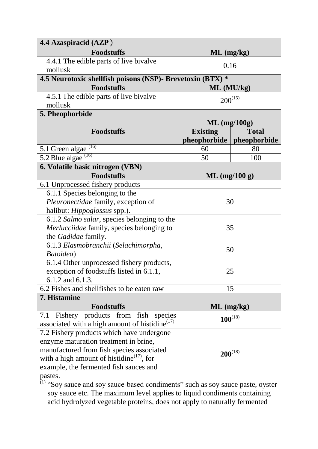| 4.4 Azaspiracid (AZP)                                                                                                                                           |                             |              |
|-----------------------------------------------------------------------------------------------------------------------------------------------------------------|-----------------------------|--------------|
| <b>Foodstuffs</b>                                                                                                                                               | $ML$ (mg/kg)                |              |
| 4.4.1 The edible parts of live bivalve                                                                                                                          | 0.16                        |              |
| mollusk                                                                                                                                                         |                             |              |
| 4.5 Neurotoxic shellfish poisons (NSP)- Brevetoxin (BTX) *                                                                                                      |                             |              |
| <b>Foodstuffs</b>                                                                                                                                               | ML (MU/kg)                  |              |
| 4.5.1 The edible parts of live bivalve                                                                                                                          | $200^{(15)}$                |              |
| mollusk                                                                                                                                                         |                             |              |
| 5. Pheophorbide                                                                                                                                                 |                             |              |
|                                                                                                                                                                 | $ML$ (mg/100g)              |              |
| <b>Foodstuffs</b>                                                                                                                                               | <b>Existing</b>             | <b>Total</b> |
|                                                                                                                                                                 | pheophorbide   pheophorbide |              |
| $5.1$ Green algae <sup><math>(16)</math></sup>                                                                                                                  | 60                          | 80           |
| 5.2 Blue algae<br>(16)                                                                                                                                          | 50                          | 100          |
| 6. Volatile basic nitrogen (VBN)                                                                                                                                |                             |              |
| <b>Foodstuffs</b>                                                                                                                                               | $ML$ (mg/100 g)             |              |
| 6.1 Unprocessed fishery products                                                                                                                                |                             |              |
| 6.1.1 Species belonging to the                                                                                                                                  | 30                          |              |
| Pleuronectidae family, exception of                                                                                                                             |                             |              |
| halibut: Hippoglossus spp.).                                                                                                                                    |                             |              |
| 6.1.2 Salmo salar, species belonging to the                                                                                                                     |                             |              |
| Merlucciidae family, species belonging to                                                                                                                       | 35                          |              |
| the Gadidae family.                                                                                                                                             |                             |              |
| 6.1.3 Elasmobranchii (Selachimorpha,                                                                                                                            | 50                          |              |
| Batoidea)                                                                                                                                                       |                             |              |
| 6.1.4 Other unprocessed fishery products,                                                                                                                       |                             |              |
| exception of foodstuffs listed in 6.1.1,                                                                                                                        | 25                          |              |
| 6.1.2 and 6.1.3.                                                                                                                                                |                             |              |
| 6.2 Fishes and shell fishes to be eaten raw                                                                                                                     | 15                          |              |
| 7. Histamine                                                                                                                                                    |                             |              |
| <b>Foodstuffs</b>                                                                                                                                               | $ML$ (mg/kg)                |              |
| Fishery products from fish species<br>7.1                                                                                                                       | $100^{(18)}$                |              |
| associated with a high amount of histidine <sup>(17)</sup>                                                                                                      |                             |              |
| 7.2 Fishery products which have undergone                                                                                                                       | $200^{(18)}$                |              |
| enzyme maturation treatment in brine,<br>manufactured from fish species associated                                                                              |                             |              |
| with a high amount of histidine $^{(17)}$ , for                                                                                                                 |                             |              |
| example, the fermented fish sauces and                                                                                                                          |                             |              |
| pastes.                                                                                                                                                         |                             |              |
|                                                                                                                                                                 |                             |              |
| $^{(1)}$ "Soy sauce and soy sauce-based condiments" such as soy sauce paste, oyster<br>soy sauce etc. The maximum level applies to liquid condiments containing |                             |              |
| acid hydrolyzed vegetable proteins, does not apply to naturally fermented                                                                                       |                             |              |
|                                                                                                                                                                 |                             |              |